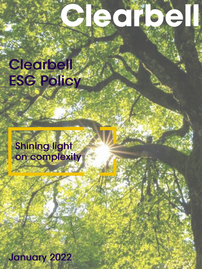# e ditie e

# **Clearbell ESG Policy**

### **Shining light** on complexity

**January 2022**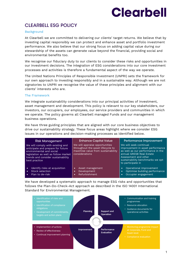# **Clearbe**

### CLEARBELL ESG POLICY

#### **Background**

At Clearbell we are committed to delivering our clients' target returns. We believe that by investing capital responsibly we can protect and enhance asset and portfolio investment performance. We also believe that our strong focus on adding capital value during our stewardship of the assets can generate value beyond the financial, providing social and environmental benefits too.

We recognise our fiduciary duty to our clients to consider these risks and opportunities in our investment decisions. The integration of ESG considerations into our core investment processes and activities is therefore a fundamental aspect of the way we operate.

The United Nations Principles of Responsible Investment (UNPRI) sets the framework for our own approach to investing responsibly and in a sustainable way. Although we are not signatories to UNPRI we recognise the value of these principles and alignment with our clients' interests who are.

#### The Framework

We integrate sustainability considerations into our principal activities of investment, asset management and development. This policy is relevant to our key stakeholders, our investors, our occupiers, our employees, our service providers and communities in which we operate. The policy governs all Clearbell managed Funds and our management business operations.

We have three guiding principles that are aligned with our core business objectives to drive our sustainability strategy. These focus areas highlight where we consider ESG issues in our operations and decision-making processes as identified below.

| <b>Risk Management</b>                                                                                                                                                                           | <b>Enhance Capital Value</b>                                                                                                | Performance Improvement                                                                                                                                                                                      |
|--------------------------------------------------------------------------------------------------------------------------------------------------------------------------------------------------|-----------------------------------------------------------------------------------------------------------------------------|--------------------------------------------------------------------------------------------------------------------------------------------------------------------------------------------------------------|
| We will comply with existing and<br>anticipate and prepare for future<br>environmental and social<br>legislation as well as follow market<br>trends and consider sustainability<br>best practice | We will appraise opportunities<br>throughout the asset lifecycle to<br>maximise value from sustainability<br>considerations | We will seek continual<br>improvement in asset performance<br>as well as our performance in the<br>annual GRESB Real Estate<br>Assessment and other<br>sustainability benchmarks we opt<br>to participate in |
| Identify risks at acquisition<br>$\bullet$<br>Stock selection<br>٠<br>Plan to de-risk<br>٠                                                                                                       | Asset management<br>٠<br>Development<br>٠<br>Refurbishment                                                                  | Operational improvement<br>Optimise building performance<br>Occupier engagement                                                                                                                              |

We have developed a systematic approach to manage ESG risks and opportunities that follows the Plan-Do-Check-Act approach as described in the ISO 14001 International Standard for Environmental Management.

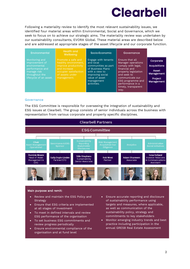### **Clearbe**

Following a materiality review to identify the most relevant sustainability issues, we identified four material areas within Environmental, Social and Governance, which we seek to focus on to achieve our strategic aims. The materiality review was undertaken by our sustainability consultants, EVORA Global. These material areas are described below and are addressed at appropriate stages of the asset lifecycle and our corporate function.

### Environmental Health and<br>Wellbeing

manage risk throughout the

Engage with tenants and local communities as part of Business Plans with a view to improving social value of asset management activities.

Socio-Economic Governance

Ensure that all Manager operations comply with legal, financial and property legislation and seek to communicate our ESG programme and performance in a timely, transparent way.

Corporate **Acquisitions** 

Asset Management

**Project** Management

#### **Governance**

The ESG Committee is responsible for overseeing the integration of sustainability and ESG issues at Clearbell. The group consists of senior individuals across the business with representation from various corporate and property specific disciplines.



#### Main purpose and remit:

- Review and maintain the ESG Policy and Strategy
- Ensure that ESG criteria are implemented at all stages of investment
- To meet in defined intervals and review ESG performance of the organisation
- To set business ESG commitments and review progress periodically
- Ensure environmental compliance of the organisation and at fund level
- Ensure accurate reporting and disclosure of sustainability performance using targets and measures, where applicable, as well as communication of the sustainability policy, strategy and commitments to key stakeholders
- Monitor emerging industry trends and best practice including participation in the annual GRESB Real Estate Assessment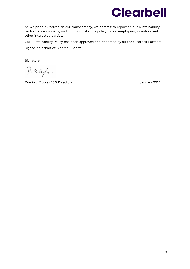

As we pride ourselves on our transparency, we commit to report on our sustainability performance annually, and communicate this policy to our employees, investors and other interested parties.

Our Sustainability Policy has been approved and endorsed by all the Clearbell Partners. Signed on behalf of Clearbell Capital LLP

Signature

 $D.2.4$ far

Dominic Moore (ESG Director) January 2022